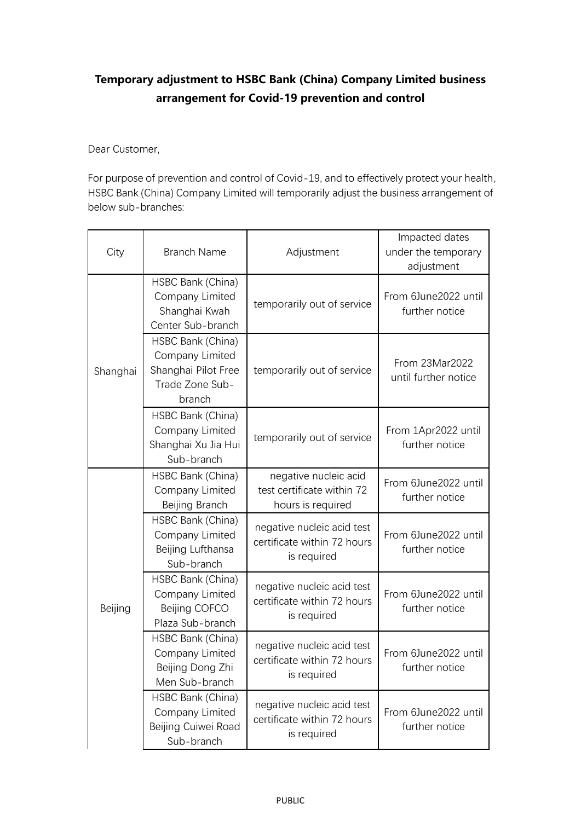## **Temporary adjustment to HSBC Bank (China) Company Limited business arrangement for Covid-19 prevention and control**

Dear Customer,

For purpose of prevention and control of Covid-19, and to effectively protect your health, HSBC Bank (China) Company Limited will temporarily adjust the business arrangement of below sub-branches:

| City     | <b>Branch Name</b>                                                                       | Adjustment                                                               | Impacted dates<br>under the temporary<br>adjustment |
|----------|------------------------------------------------------------------------------------------|--------------------------------------------------------------------------|-----------------------------------------------------|
| Shanghai | HSBC Bank (China)<br>Company Limited<br>Shanghai Kwah<br>Center Sub-branch               | temporarily out of service                                               | From 6June2022 until<br>further notice              |
|          | HSBC Bank (China)<br>Company Limited<br>Shanghai Pilot Free<br>Trade Zone Sub-<br>branch | temporarily out of service                                               | From 23Mar2022<br>until further notice              |
|          | HSBC Bank (China)<br>Company Limited<br>Shanghai Xu Jia Hui<br>Sub-branch                | temporarily out of service                                               | From 1Apr2022 until<br>further notice               |
| Beijing  | HSBC Bank (China)<br>Company Limited<br>Beijing Branch                                   | negative nucleic acid<br>test certificate within 72<br>hours is required | From 6June2022 until<br>further notice              |
|          | HSBC Bank (China)<br>Company Limited<br>Beijing Lufthansa<br>Sub-branch                  | negative nucleic acid test<br>certificate within 72 hours<br>is required | From 6June2022 until<br>further notice              |
|          | HSBC Bank (China)<br>Company Limited<br>Beijing COFCO<br>Plaza Sub-branch                | negative nucleic acid test<br>certificate within 72 hours<br>is required | From 6June2022 until<br>further notice              |
|          | HSBC Bank (China)<br>Company Limited<br>Beijing Dong Zhi<br>Men Sub-branch               | negative nucleic acid test<br>certificate within 72 hours<br>is required | From 6June2022 until<br>further notice              |
|          | HSBC Bank (China)<br>Company Limited<br>Beijing Cuiwei Road<br>Sub-branch                | negative nucleic acid test<br>certificate within 72 hours<br>is required | From 6June2022 until<br>further notice              |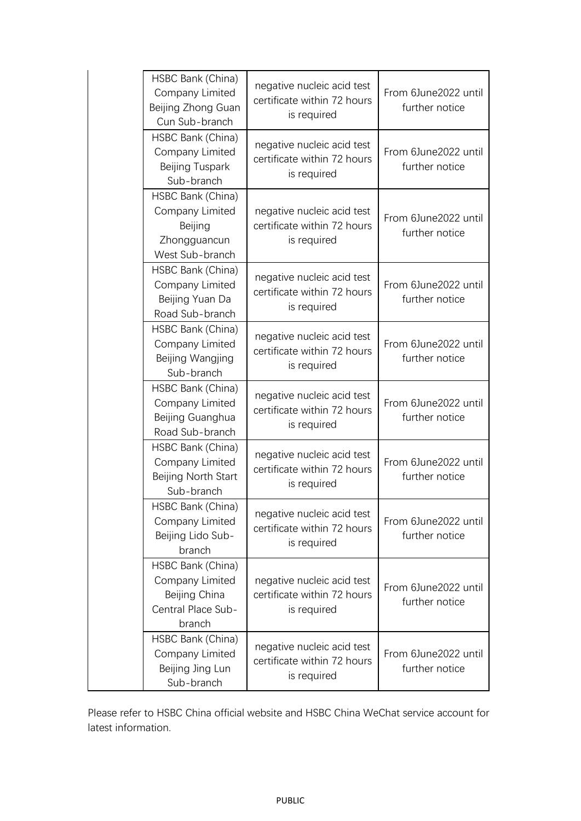| HSBC Bank (China)<br>Company Limited<br>Beijing Zhong Guan<br>Cun Sub-branch          | negative nucleic acid test<br>certificate within 72 hours<br>is required | From 6June2022 until<br>further notice |
|---------------------------------------------------------------------------------------|--------------------------------------------------------------------------|----------------------------------------|
| HSBC Bank (China)<br>Company Limited<br>Beijing Tuspark<br>Sub-branch                 | negative nucleic acid test<br>certificate within 72 hours<br>is required | From 6June2022 until<br>further notice |
| HSBC Bank (China)<br>Company Limited<br>Beijing<br>Zhongguancun<br>West Sub-branch    | negative nucleic acid test<br>certificate within 72 hours<br>is required | From 6June2022 until<br>further notice |
| HSBC Bank (China)<br>Company Limited<br>Beijing Yuan Da<br>Road Sub-branch            | negative nucleic acid test<br>certificate within 72 hours<br>is required | From 6June2022 until<br>further notice |
| HSBC Bank (China)<br>Company Limited<br>Beijing Wangjing<br>Sub-branch                | negative nucleic acid test<br>certificate within 72 hours<br>is required | From 6June2022 until<br>further notice |
| HSBC Bank (China)<br>Company Limited<br>Beijing Guanghua<br>Road Sub-branch           | negative nucleic acid test<br>certificate within 72 hours<br>is required | From 6June2022 until<br>further notice |
| HSBC Bank (China)<br>Company Limited<br>Beijing North Start<br>Sub-branch             | negative nucleic acid test<br>certificate within 72 hours<br>is required | From 6June2022 until<br>further notice |
| HSBC Bank (China)<br>Company Limited<br>Beijing Lido Sub-<br>branch                   | negative nucleic acid test<br>certificate within 72 hours<br>is required | From 6June2022 until<br>further notice |
| HSBC Bank (China)<br>Company Limited<br>Beijing China<br>Central Place Sub-<br>branch | negative nucleic acid test<br>certificate within 72 hours<br>is required | From 6June2022 until<br>further notice |
| HSBC Bank (China)<br>Company Limited<br>Beijing Jing Lun<br>Sub-branch                | negative nucleic acid test<br>certificate within 72 hours<br>is required | From 6June2022 until<br>further notice |

Please refer to HSBC China official website and HSBC China WeChat service account for latest information.